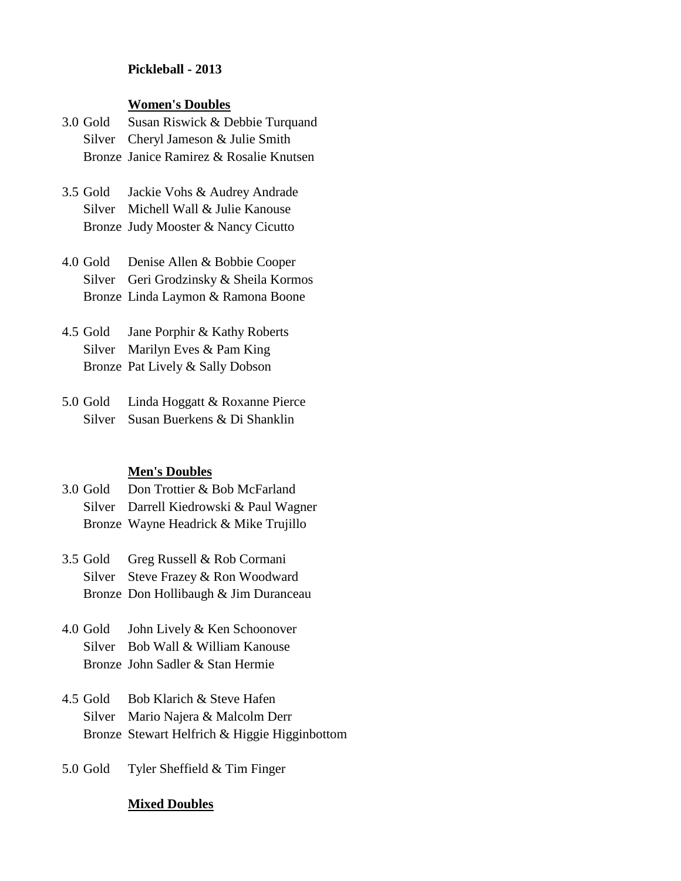## **Pickleball - 2013**

## **Women's Doubles**

- 3.0 Gold Susan Riswick & Debbie Turquand Silver Cheryl Jameson & Julie Smith Bronze Janice Ramirez & Rosalie Knutsen
- 3.5 Gold Jackie Vohs & Audrey Andrade Silver Michell Wall & Julie Kanouse Bronze Judy Mooster & Nancy Cicutto
- 4.0 Gold Denise Allen & Bobbie Cooper Silver Geri Grodzinsky & Sheila Kormos Bronze Linda Laymon & Ramona Boone
- 4.5 Gold Jane Porphir & Kathy Roberts Silver Marilyn Eves & Pam King Bronze Pat Lively & Sally Dobson
- 5.0 Gold Linda Hoggatt & Roxanne Pierce Silver Susan Buerkens & Di Shanklin

## **Men's Doubles**

- 3.0 Gold Don Trottier & Bob McFarland Silver Darrell Kiedrowski & Paul Wagner Bronze Wayne Headrick & Mike Trujillo
- 3.5 Gold Greg Russell & Rob Cormani Silver Steve Frazey & Ron Woodward Bronze Don Hollibaugh & Jim Duranceau
- 4.0 Gold John Lively & Ken Schoonover Silver Bob Wall & William Kanouse Bronze John Sadler & Stan Hermie
- 4.5 Gold Bob Klarich & Steve Hafen Silver Mario Najera & Malcolm Derr Bronze Stewart Helfrich & Higgie Higginbottom
- 5.0 Gold Tyler Sheffield & Tim Finger

## **Mixed Doubles**